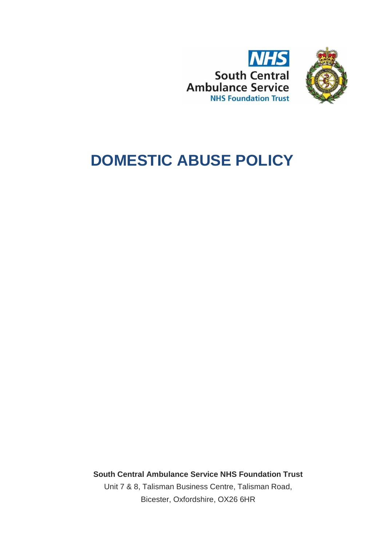



# **DOMESTIC ABUSE POLICY**

**South Central Ambulance Service NHS Foundation Trust** Unit 7 & 8, Talisman Business Centre, Talisman Road, Bicester, Oxfordshire, OX26 6HR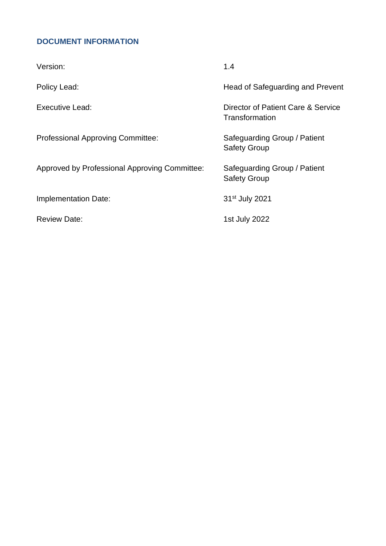# <span id="page-1-0"></span>**DOCUMENT INFORMATION**

| Version:                                      | 1.4                                                  |
|-----------------------------------------------|------------------------------------------------------|
| Policy Lead:                                  | Head of Safeguarding and Prevent                     |
| <b>Executive Lead:</b>                        | Director of Patient Care & Service<br>Transformation |
| <b>Professional Approving Committee:</b>      | Safeguarding Group / Patient<br><b>Safety Group</b>  |
| Approved by Professional Approving Committee: | Safeguarding Group / Patient<br><b>Safety Group</b>  |
| <b>Implementation Date:</b>                   | 31 <sup>st</sup> July 2021                           |
| <b>Review Date:</b>                           | 1st July 2022                                        |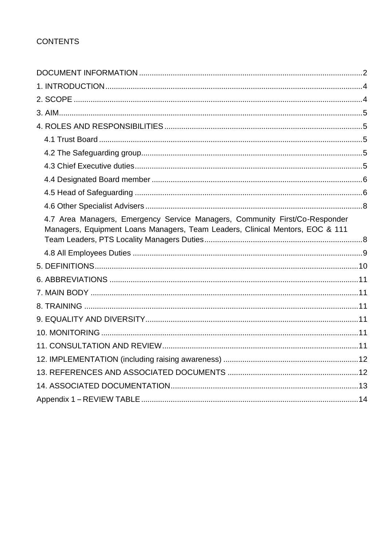| 4.7 Area Managers, Emergency Service Managers, Community First/Co-Responder<br>Managers, Equipment Loans Managers, Team Leaders, Clinical Mentors, EOC & 111 |  |
|--------------------------------------------------------------------------------------------------------------------------------------------------------------|--|
|                                                                                                                                                              |  |
|                                                                                                                                                              |  |
|                                                                                                                                                              |  |
|                                                                                                                                                              |  |
|                                                                                                                                                              |  |
|                                                                                                                                                              |  |
|                                                                                                                                                              |  |
|                                                                                                                                                              |  |
|                                                                                                                                                              |  |
|                                                                                                                                                              |  |
|                                                                                                                                                              |  |
|                                                                                                                                                              |  |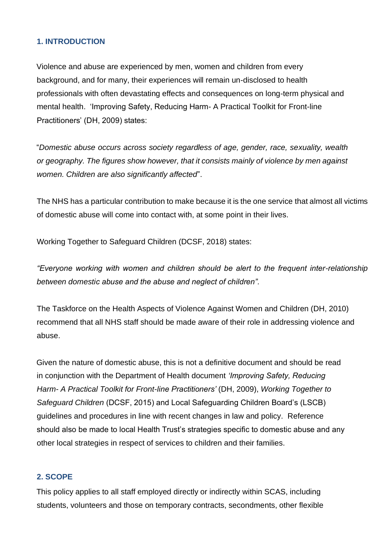## <span id="page-3-0"></span>**1. INTRODUCTION**

Violence and abuse are experienced by men, women and children from every background, and for many, their experiences will remain un-disclosed to health professionals with often devastating effects and consequences on long-term physical and mental health. 'Improving Safety, Reducing Harm- A Practical Toolkit for Front-line Practitioners' (DH, 2009) states:

"*Domestic abuse occurs across society regardless of age, gender, race, sexuality, wealth or geography. The figures show however, that it consists mainly of violence by men against women. Children are also significantly affected*".

The NHS has a particular contribution to make because it is the one service that almost all victims of domestic abuse will come into contact with, at some point in their lives.

Working Together to Safeguard Children (DCSF, 2018) states:

*"Everyone working with women and children should be alert to the frequent inter-relationship between domestic abuse and the abuse and neglect of children".*

The Taskforce on the Health Aspects of Violence Against Women and Children (DH, 2010) recommend that all NHS staff should be made aware of their role in addressing violence and abuse.

Given the nature of domestic abuse, this is not a definitive document and should be read in conjunction with the Department of Health document *'Improving Safety, Reducing Harm- A Practical Toolkit for Front-line Practitioners'* (DH, 2009), *Working Together to Safeguard Children* (DCSF, 2015) and Local Safeguarding Children Board's (LSCB) guidelines and procedures in line with recent changes in law and policy. Reference should also be made to local Health Trust's strategies specific to domestic abuse and any other local strategies in respect of services to children and their families.

## <span id="page-3-1"></span>**2. SCOPE**

This policy applies to all staff employed directly or indirectly within SCAS, including students, volunteers and those on temporary contracts, secondments, other flexible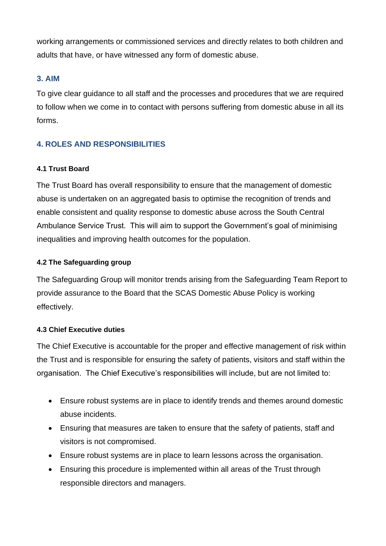working arrangements or commissioned services and directly relates to both children and adults that have, or have witnessed any form of domestic abuse.

## <span id="page-4-0"></span>**3. AIM**

To give clear guidance to all staff and the processes and procedures that we are required to follow when we come in to contact with persons suffering from domestic abuse in all its forms.

## <span id="page-4-1"></span>**4. ROLES AND RESPONSIBILITIES**

## <span id="page-4-2"></span>**4.1 Trust Board**

The Trust Board has overall responsibility to ensure that the management of domestic abuse is undertaken on an aggregated basis to optimise the recognition of trends and enable consistent and quality response to domestic abuse across the South Central Ambulance Service Trust. This will aim to support the Government's goal of minimising inequalities and improving health outcomes for the population.

## <span id="page-4-3"></span>**4.2 The Safeguarding group**

The Safeguarding Group will monitor trends arising from the Safeguarding Team Report to provide assurance to the Board that the SCAS Domestic Abuse Policy is working effectively.

## <span id="page-4-4"></span>**4.3 Chief Executive duties**

The Chief Executive is accountable for the proper and effective management of risk within the Trust and is responsible for ensuring the safety of patients, visitors and staff within the organisation. The Chief Executive's responsibilities will include, but are not limited to:

- Ensure robust systems are in place to identify trends and themes around domestic abuse incidents.
- Ensuring that measures are taken to ensure that the safety of patients, staff and visitors is not compromised.
- Ensure robust systems are in place to learn lessons across the organisation.
- Ensuring this procedure is implemented within all areas of the Trust through responsible directors and managers.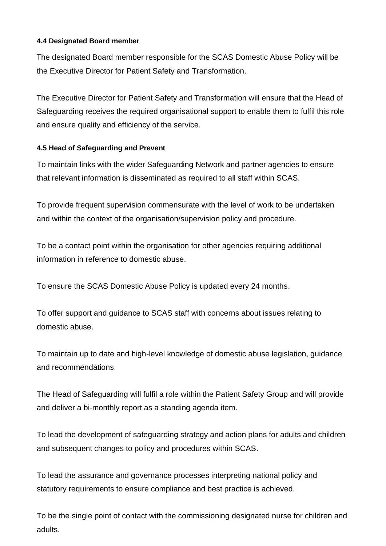#### <span id="page-5-0"></span>**4.4 Designated Board member**

The designated Board member responsible for the SCAS Domestic Abuse Policy will be the Executive Director for Patient Safety and Transformation.

The Executive Director for Patient Safety and Transformation will ensure that the Head of Safeguarding receives the required organisational support to enable them to fulfil this role and ensure quality and efficiency of the service.

## <span id="page-5-1"></span>**4.5 Head of Safeguarding and Prevent**

To maintain links with the wider Safeguarding Network and partner agencies to ensure that relevant information is disseminated as required to all staff within SCAS.

To provide frequent supervision commensurate with the level of work to be undertaken and within the context of the organisation/supervision policy and procedure.

To be a contact point within the organisation for other agencies requiring additional information in reference to domestic abuse.

To ensure the SCAS Domestic Abuse Policy is updated every 24 months.

To offer support and guidance to SCAS staff with concerns about issues relating to domestic abuse.

To maintain up to date and high-level knowledge of domestic abuse legislation, guidance and recommendations.

The Head of Safeguarding will fulfil a role within the Patient Safety Group and will provide and deliver a bi-monthly report as a standing agenda item.

To lead the development of safeguarding strategy and action plans for adults and children and subsequent changes to policy and procedures within SCAS.

To lead the assurance and governance processes interpreting national policy and statutory requirements to ensure compliance and best practice is achieved.

To be the single point of contact with the commissioning designated nurse for children and adults.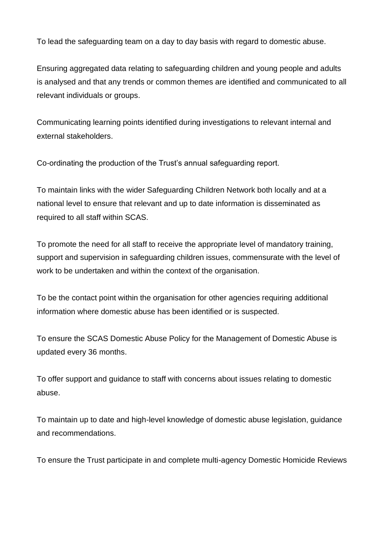To lead the safeguarding team on a day to day basis with regard to domestic abuse.

Ensuring aggregated data relating to safeguarding children and young people and adults is analysed and that any trends or common themes are identified and communicated to all relevant individuals or groups.

Communicating learning points identified during investigations to relevant internal and external stakeholders.

Co-ordinating the production of the Trust's annual safeguarding report.

To maintain links with the wider Safeguarding Children Network both locally and at a national level to ensure that relevant and up to date information is disseminated as required to all staff within SCAS.

To promote the need for all staff to receive the appropriate level of mandatory training, support and supervision in safeguarding children issues, commensurate with the level of work to be undertaken and within the context of the organisation.

To be the contact point within the organisation for other agencies requiring additional information where domestic abuse has been identified or is suspected.

To ensure the SCAS Domestic Abuse Policy for the Management of Domestic Abuse is updated every 36 months.

To offer support and guidance to staff with concerns about issues relating to domestic abuse.

To maintain up to date and high-level knowledge of domestic abuse legislation, guidance and recommendations.

To ensure the Trust participate in and complete multi-agency Domestic Homicide Reviews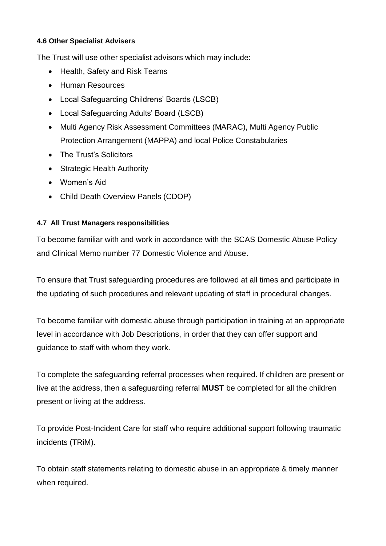## <span id="page-7-0"></span>**4.6 Other Specialist Advisers**

The Trust will use other specialist advisors which may include:

- Health, Safety and Risk Teams
- Human Resources
- Local Safeguarding Childrens' Boards (LSCB)
- Local Safeguarding Adults' Board (LSCB)
- Multi Agency Risk Assessment Committees (MARAC), Multi Agency Public Protection Arrangement (MAPPA) and local Police Constabularies
- The Trust's Solicitors
- Strategic Health Authority
- Women's Aid
- Child Death Overview Panels (CDOP)

## <span id="page-7-1"></span>**4.7 All Trust Managers responsibilities**

To become familiar with and work in accordance with the SCAS Domestic Abuse Policy and Clinical Memo number 77 Domestic Violence and Abuse.

To ensure that Trust safeguarding procedures are followed at all times and participate in the updating of such procedures and relevant updating of staff in procedural changes.

To become familiar with domestic abuse through participation in training at an appropriate level in accordance with Job Descriptions, in order that they can offer support and guidance to staff with whom they work.

To complete the safeguarding referral processes when required. If children are present or live at the address, then a safeguarding referral **MUST** be completed for all the children present or living at the address.

To provide Post-Incident Care for staff who require additional support following traumatic incidents (TRiM).

To obtain staff statements relating to domestic abuse in an appropriate & timely manner when required.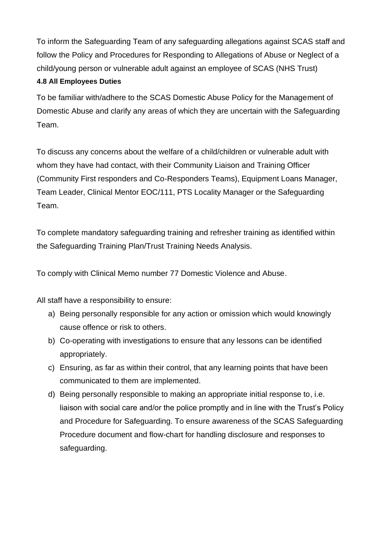To inform the Safeguarding Team of any safeguarding allegations against SCAS staff and follow the Policy and Procedures for Responding to Allegations of Abuse or Neglect of a child/young person or vulnerable adult against an employee of SCAS (NHS Trust)

## <span id="page-8-0"></span>**4.8 All Employees Duties**

To be familiar with/adhere to the SCAS Domestic Abuse Policy for the Management of Domestic Abuse and clarify any areas of which they are uncertain with the Safeguarding Team.

To discuss any concerns about the welfare of a child/children or vulnerable adult with whom they have had contact, with their Community Liaison and Training Officer (Community First responders and Co-Responders Teams), Equipment Loans Manager, Team Leader, Clinical Mentor EOC/111, PTS Locality Manager or the Safeguarding Team.

To complete mandatory safeguarding training and refresher training as identified within the Safeguarding Training Plan/Trust Training Needs Analysis.

To comply with Clinical Memo number 77 Domestic Violence and Abuse.

All staff have a responsibility to ensure:

- a) Being personally responsible for any action or omission which would knowingly cause offence or risk to others.
- b) Co-operating with investigations to ensure that any lessons can be identified appropriately.
- c) Ensuring, as far as within their control, that any learning points that have been communicated to them are implemented.
- d) Being personally responsible to making an appropriate initial response to, i.e. liaison with social care and/or the police promptly and in line with the Trust's Policy and Procedure for Safeguarding. To ensure awareness of the SCAS Safeguarding Procedure document and flow-chart for handling disclosure and responses to safeguarding.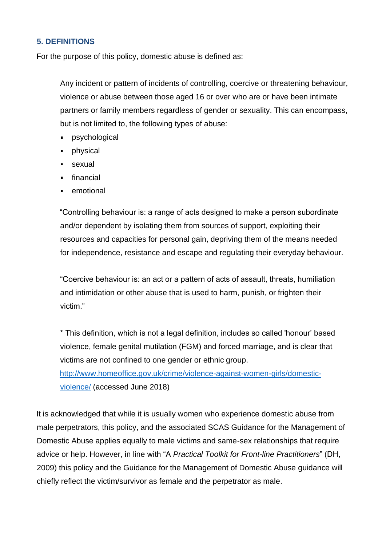## <span id="page-9-0"></span>**5. DEFINITIONS**

For the purpose of this policy, domestic abuse is defined as:

Any incident or pattern of incidents of controlling, coercive or threatening behaviour, violence or abuse between those aged 16 or over who are or have been intimate partners or family members regardless of gender or sexuality. This can encompass, but is not limited to, the following types of abuse:

- psychological
- physical
- sexual
- financial
- emotional

"Controlling behaviour is: a range of acts designed to make a person subordinate and/or dependent by isolating them from sources of support, exploiting their resources and capacities for personal gain, depriving them of the means needed for independence, resistance and escape and regulating their everyday behaviour.

"Coercive behaviour is: an act or a pattern of acts of assault, threats, humiliation and intimidation or other abuse that is used to harm, punish, or frighten their victim."

\* This definition, which is not a legal definition, includes so called 'honour' based violence, female genital mutilation (FGM) and forced marriage, and is clear that victims are not confined to one gender or ethnic group.

[http://www.homeoffice.gov.uk/crime/violence-against-women-girls/domestic](http://www.homeoffice.gov.uk/crime/violence-against-women-girls/domestic-violence/)[violence/](http://www.homeoffice.gov.uk/crime/violence-against-women-girls/domestic-violence/) (accessed June 2018)

It is acknowledged that while it is usually women who experience domestic abuse from male perpetrators, this policy, and the associated SCAS Guidance for the Management of Domestic Abuse applies equally to male victims and same-sex relationships that require advice or help. However, in line with "A *Practical Toolkit for Front-line Practitioners*" (DH, 2009) this policy and the Guidance for the Management of Domestic Abuse guidance will chiefly reflect the victim/survivor as female and the perpetrator as male.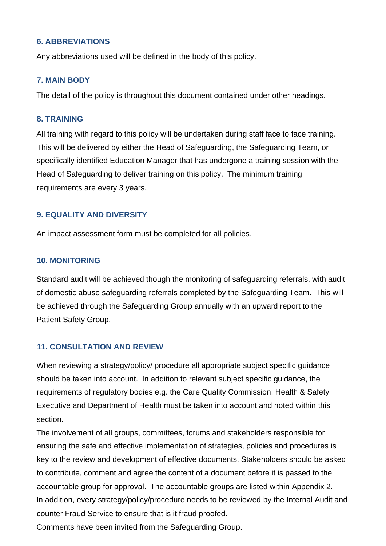## <span id="page-10-0"></span>**6. ABBREVIATIONS**

Any abbreviations used will be defined in the body of this policy.

#### <span id="page-10-1"></span>**7. MAIN BODY**

The detail of the policy is throughout this document contained under other headings.

#### <span id="page-10-2"></span>**8. TRAINING**

All training with regard to this policy will be undertaken during staff face to face training. This will be delivered by either the Head of Safeguarding, the Safeguarding Team, or specifically identified Education Manager that has undergone a training session with the Head of Safeguarding to deliver training on this policy. The minimum training requirements are every 3 years.

## <span id="page-10-3"></span>**9. EQUALITY AND DIVERSITY**

An impact assessment form must be completed for all policies.

#### <span id="page-10-4"></span>**10. MONITORING**

Standard audit will be achieved though the monitoring of safeguarding referrals, with audit of domestic abuse safeguarding referrals completed by the Safeguarding Team. This will be achieved through the Safeguarding Group annually with an upward report to the Patient Safety Group.

## <span id="page-10-5"></span>**11. CONSULTATION AND REVIEW**

When reviewing a strategy/policy/ procedure all appropriate subject specific guidance should be taken into account. In addition to relevant subject specific guidance, the requirements of regulatory bodies e.g. the Care Quality Commission, Health & Safety Executive and Department of Health must be taken into account and noted within this section.

The involvement of all groups, committees, forums and stakeholders responsible for ensuring the safe and effective implementation of strategies, policies and procedures is key to the review and development of effective documents. Stakeholders should be asked to contribute, comment and agree the content of a document before it is passed to the accountable group for approval. The accountable groups are listed within Appendix 2. In addition, every strategy/policy/procedure needs to be reviewed by the Internal Audit and counter Fraud Service to ensure that is it fraud proofed.

Comments have been invited from the Safeguarding Group.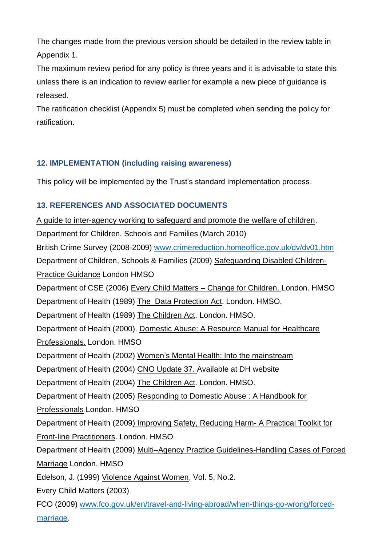The changes made from the previous version should be detailed in the review table in Appendix 1.

The maximum review period for any policy is three years and it is advisable to state this unless there is an indication to review earlier for example a new piece of guidance is released.

The ratification checklist (Appendix 5) must be completed when sending the policy for ratification.

## <span id="page-11-0"></span>**12. IMPLEMENTATION (including raising awareness)**

This policy will be implemented by the Trust's standard implementation process.

# <span id="page-11-1"></span>**13. REFERENCES AND ASSOCIATED DOCUMENTS**

A guide to inter-agency working to safeguard and promote the welfare of children. Department for Children, Schools and Families (March 2010) British Crime Survey (2008-2009) [www.crimereduction.homeoffice.gov.uk/dv/dv01.htm](http://www.crimereduction.homeoffice.gov.uk/dv/dv01.htm) Department of Children, Schools & Families (2009) Safeguarding Disabled Children-Practice Guidance London HMSO Department of CSE (2006) Every Child Matters – Change for Children. London. HMSO Department of Health (1989) The Data Protection Act. London. HMSO. Department of Health (1989) The Children Act. London. HMSO. Department of Health (2000). Domestic Abuse: A Resource Manual for Healthcare Professionals. London. HMSO Department of Health (2002) Women's Mental Health: Into the mainstream Department of Health (2004) CNO Update 37. Available at DH website Department of Health (2004) The Children Act. London. HMSO. Department of Health (2005) Responding to Domestic Abuse : A Handbook for Professionals London. HMSO Department of Health (2009) Improving Safety, Reducing Harm- A Practical Toolkit for Front-line Practitioners. London. HMSO Department of Health (2009) Multi–Agency Practice Guidelines-Handling Cases of Forced Marriage London. HMSO Edelson, J. (1999) Violence Against Women, Vol. 5, No.2. Every Child Matters (2003) FCO (2009) [www.fco.gov.uk/en/travel-and-living-abroad/when-things-go-wrong/forced](http://www.fco.gov.uk/en/travel-and-living-abroad/when-things-go-wrong/forced-marriage)[marriage.](http://www.fco.gov.uk/en/travel-and-living-abroad/when-things-go-wrong/forced-marriage)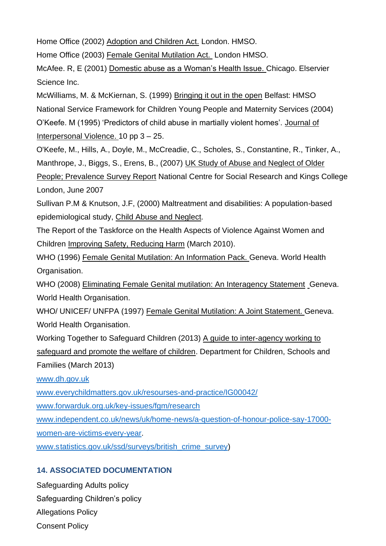Home Office (2002) Adoption and Children Act. London. HMSO.

Home Office (2003) Female Genital Mutilation Act. London HMSO.

McAfee. R, E (2001) Domestic abuse as a Woman's Health Issue. Chicago. Elservier Science Inc.

McWilliams, M. & McKiernan, S. (1999) Bringing it out in the open Belfast: HMSO National Service Framework for Children Young People and Maternity Services (2004) O'Keefe. M (1995) 'Predictors of child abuse in martially violent homes'. Journal of Interpersonal Violence. 10 pp 3 – 25.

O'Keefe, M., Hills, A., Doyle, M., McCreadie, C., Scholes, S., Constantine, R., Tinker, A., Manthrope, J., Biggs, S., Erens, B., (2007) UK Study of Abuse and Neglect of Older

People; Prevalence Survey Report National Centre for Social Research and Kings College London, June 2007

Sullivan P.M & Knutson, J.F, (2000) Maltreatment and disabilities: A population-based epidemiological study, Child Abuse and Neglect.

The Report of the Taskforce on the Health Aspects of Violence Against Women and Children Improving Safety, Reducing Harm (March 2010).

WHO (1996) Female Genital Mutilation: An Information Pack. Geneva. World Health Organisation.

WHO (2008) Eliminating Female Genital mutilation: An Interagency Statement Geneva. World Health Organisation.

WHO/ UNICEF/ UNFPA (1997) Female Genital Mutilation: A Joint Statement. Geneva. World Health Organisation.

Working Together to Safeguard Children (2013) A guide to inter-agency working to safeguard and promote the welfare of children. Department for Children, Schools and Families (March 2013)

[www.dh.gov.uk](http://www.dh.gov.uk/)

[www.everychildmatters.gov.uk/resourses-and-practice/IG00042/](http://www.everychildmatters.gov.uk/resourses-and-practice/IG00042/)

[www.forwarduk.org.uk/key-issues/fgm/research](http://www.forwarduk.org.uk/key-issues/fgm/research)

[www.independent.co.uk/news/uk/home-news/a-question-of-honour-police-say-17000-](http://www.independent.co.uk/news/uk/home-news/a-question-of-honour-police-say-17000-women-are-victims-every-year)

[women-are-victims-every-year.](http://www.independent.co.uk/news/uk/home-news/a-question-of-honour-police-say-17000-women-are-victims-every-year)

www.statistics.gov.uk/ssd/surveys/british\_crime\_survey)

# <span id="page-12-0"></span>**14. ASSOCIATED DOCUMENTATION**

Safeguarding Adults policy Safeguarding Children's policy Allegations Policy Consent Policy